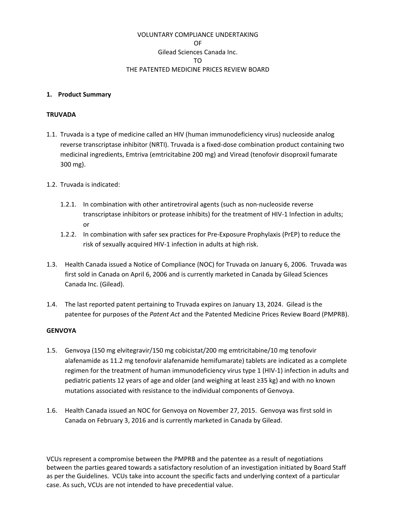# VOLUNTARY COMPLIANCE UNDERTAKING OF Gilead Sciences Canada Inc. TO THE PATENTED MEDICINE PRICES REVIEW BOARD

#### **1. Product Summary**

#### **TRUVADA**

- 1.1. Truvada is a type of medicine called an HIV (human immunodeficiency virus) nucleoside analog reverse transcriptase inhibitor (NRTI). Truvada is a fixed‐dose combination product containing two medicinal ingredients, Emtriva (emtricitabine 200 mg) and Viread (tenofovir disoproxil fumarate 300 mg).
- 1.2. Truvada is indicated:
	- 1.2.1. In combination with other antiretroviral agents (such as non‐nucleoside reverse transcriptase inhibitors or protease inhibits) for the treatment of HIV‐1 Infection in adults; or
	- 1.2.2. In combination with safer sex practices for Pre‐Exposure Prophylaxis (PrEP) to reduce the risk of sexually acquired HIV‐1 infection in adults at high risk.
- 1.3. Health Canada issued a Notice of Compliance (NOC) for Truvada on January 6, 2006. Truvada was first sold in Canada on April 6, 2006 and is currently marketed in Canada by Gilead Sciences Canada Inc. (Gilead).
- 1.4. The last reported patent pertaining to Truvada expires on January 13, 2024. Gilead is the patentee for purposes of the *Patent Act* and the Patented Medicine Prices Review Board (PMPRB).

### **GENVOYA**

- 1.5. Genvoya (150 mg elvitegravir/150 mg cobicistat/200 mg emtricitabine/10 mg tenofovir alafenamide as 11.2 mg tenofovir alafenamide hemifumarate) tablets are indicated as a complete regimen for the treatment of human immunodeficiency virus type 1 (HIV‐1) infection in adults and pediatric patients 12 years of age and older (and weighing at least ≥35 kg) and with no known mutations associated with resistance to the individual components of Genvoya.
- 1.6. Health Canada issued an NOC for Genvoya on November 27, 2015. Genvoya was first sold in Canada on February 3, 2016 and is currently marketed in Canada by Gilead.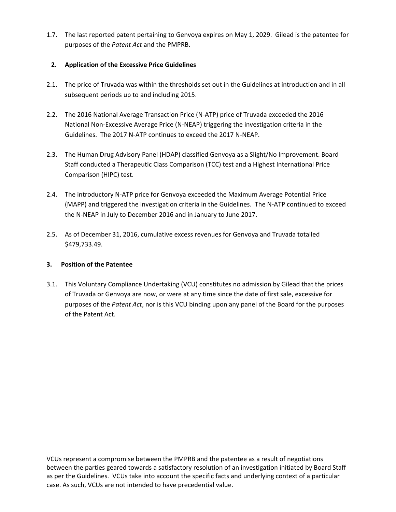1.7. The last reported patent pertaining to Genvoya expires on May 1, 2029. Gilead is the patentee for purposes of the *Patent Act* and the PMPRB.

# **2. Application of the Excessive Price Guidelines**

- 2.1. The price of Truvada was within the thresholds set out in the Guidelines at introduction and in all subsequent periods up to and including 2015.
- 2.2. The 2016 National Average Transaction Price (N‐ATP) price of Truvada exceeded the 2016 National Non‐Excessive Average Price (N‐NEAP) triggering the investigation criteria in the Guidelines. The 2017 N‐ATP continues to exceed the 2017 N‐NEAP.
- 2.3. The Human Drug Advisory Panel (HDAP) classified Genvoya as a Slight/No Improvement. Board Staff conducted a Therapeutic Class Comparison (TCC) test and a Highest International Price Comparison (HIPC) test.
- 2.4. The introductory N‐ATP price for Genvoya exceeded the Maximum Average Potential Price (MAPP) and triggered the investigation criteria in the Guidelines. The N‐ATP continued to exceed the N‐NEAP in July to December 2016 and in January to June 2017.
- 2.5. As of December 31, 2016, cumulative excess revenues for Genvoya and Truvada totalled \$479,733.49.

# **3. Position of the Patentee**

3.1. This Voluntary Compliance Undertaking (VCU) constitutes no admission by Gilead that the prices of Truvada or Genvoya are now, or were at any time since the date of first sale, excessive for purposes of the *Patent Act*, nor is this VCU binding upon any panel of the Board for the purposes of the Patent Act.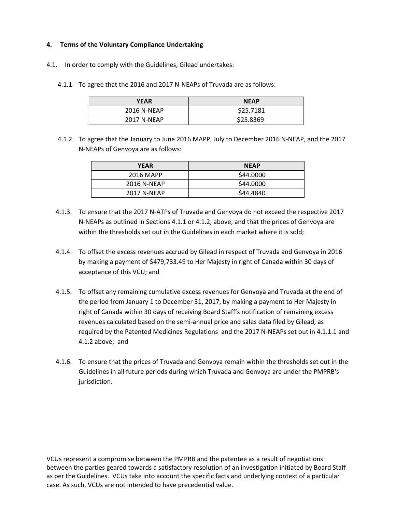## **4. Terms of the Voluntary Compliance Undertaking**

- 4.1. In order to comply with the Guidelines, Gilead undertakes:
	- 4.1.1. To agree that the 2016 and 2017 N‐NEAPs of Truvada are as follows:

| <b>YEAR</b>        | <b>NEAP</b> |
|--------------------|-------------|
| 2016 N-NEAP        | \$25.7181   |
| <b>2017 N-NEAP</b> | \$25.8369   |

4.1.2. To agree that the January to June 2016 MAPP, July to December 2016 N-NEAP, and the 2017 N‐NEAPs of Genvoya are as follows:

| <b>YEAR</b> | <b>NEAP</b> |
|-------------|-------------|
| 2016 MAPP   | \$44,0000   |
| 2016 N-NEAP | \$44.0000   |
| 2017 N-NEAP | \$44.4840   |

- 4.1.3. To ensure that the 2017 N‐ATPs of Truvada and Genvoya do not exceed the respective 2017 N‐NEAPs as outlined in Sections 4.1.1 or 4.1.2, above, and that the prices of Genvoya are within the thresholds set out in the Guidelines in each market where it is sold;
- 4.1.4. To offset the excess revenues accrued by Gilead in respect of Truvada and Genvoya in 2016 by making a payment of \$479,733.49 to Her Majesty in right of Canada within 30 days of acceptance of this VCU; and
- 4.1.5. To offset any remaining cumulative excess revenues for Genvoya and Truvada at the end of the period from January 1 to December 31, 2017, by making a payment to Her Majesty in right of Canada within 30 days of receiving Board Staff's notification of remaining excess revenues calculated based on the semi‐annual price and sales data filed by Gilead, as required by the Patented Medicines Regulations and the 2017 N‐NEAPs set out in 4.1.1.1 and 4.1.2 above; and
- 4.1.6. To ensure that the prices of Truvada and Genvoya remain within the thresholds set out in the Guidelines in all future periods during which Truvada and Genvoya are under the PMPRB's jurisdiction.